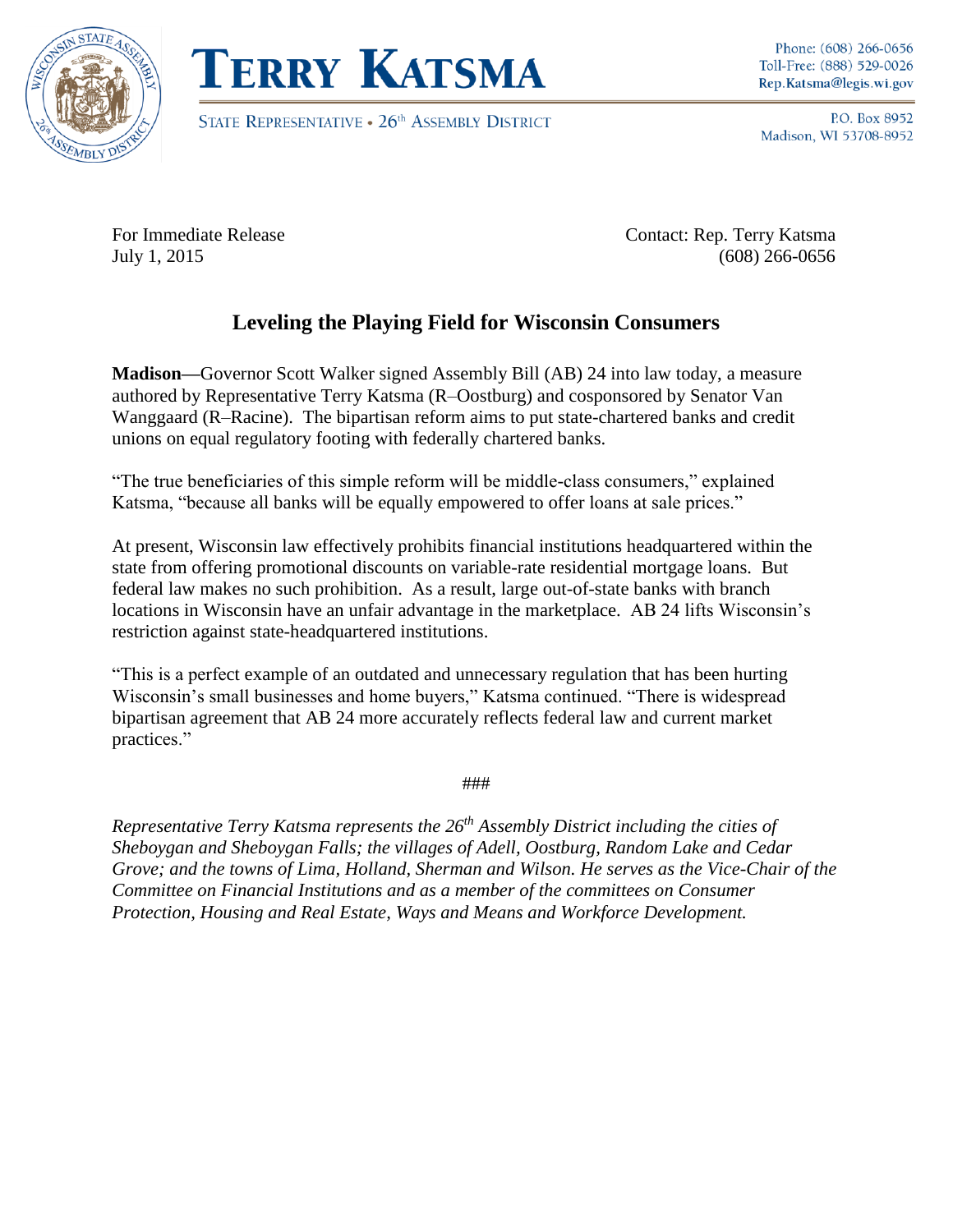



STATE REPRESENTATIVE . 26<sup>th</sup> ASSEMBLY DISTRICT

Phone: (608) 266-0656 Toll-Free: (888) 529-0026 Rep.Katsma@legis.wi.gov

P.O. Box 8952 Madison, WI 53708-8952

For Immediate Release Contact: Rep. Terry Katsma July 1, 2015 (608) 266-0656

## **Leveling the Playing Field for Wisconsin Consumers**

**Madison—**Governor Scott Walker signed Assembly Bill (AB) 24 into law today, a measure authored by Representative Terry Katsma (R–Oostburg) and cosponsored by Senator Van Wanggaard (R–Racine). The bipartisan reform aims to put state-chartered banks and credit unions on equal regulatory footing with federally chartered banks.

"The true beneficiaries of this simple reform will be middle-class consumers," explained Katsma, "because all banks will be equally empowered to offer loans at sale prices."

At present, Wisconsin law effectively prohibits financial institutions headquartered within the state from offering promotional discounts on variable-rate residential mortgage loans. But federal law makes no such prohibition. As a result, large out-of-state banks with branch locations in Wisconsin have an unfair advantage in the marketplace. AB 24 lifts Wisconsin's restriction against state-headquartered institutions.

"This is a perfect example of an outdated and unnecessary regulation that has been hurting Wisconsin's small businesses and home buyers," Katsma continued. "There is widespread bipartisan agreement that AB 24 more accurately reflects federal law and current market practices."

###

*Representative Terry Katsma represents the 26th Assembly District including the cities of Sheboygan and Sheboygan Falls; the villages of Adell, Oostburg, Random Lake and Cedar Grove; and the towns of Lima, Holland, Sherman and Wilson. He serves as the Vice-Chair of the Committee on Financial Institutions and as a member of the committees on Consumer Protection, Housing and Real Estate, Ways and Means and Workforce Development.*